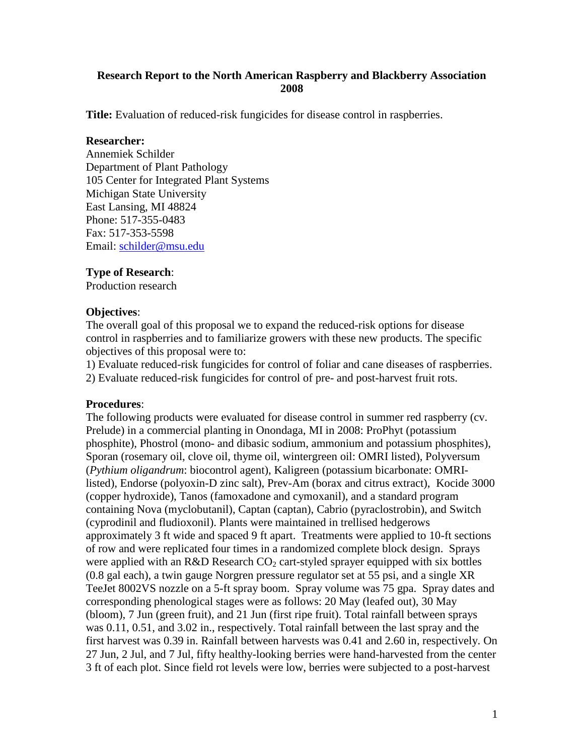# **Research Report to the North American Raspberry and Blackberry Association 2008**

**Title:** Evaluation of reduced-risk fungicides for disease control in raspberries.

#### **Researcher:**

Annemiek Schilder Department of Plant Pathology 105 Center for Integrated Plant Systems Michigan State University East Lansing, MI 48824 Phone: 517-355-0483 Fax: 517-353-5598 Email: [schilder@msu.edu](mailto:schilder@msu.edu)

# **Type of Research**:

Production research

## **Objectives**:

The overall goal of this proposal we to expand the reduced-risk options for disease control in raspberries and to familiarize growers with these new products. The specific objectives of this proposal were to:

1) Evaluate reduced-risk fungicides for control of foliar and cane diseases of raspberries.

2) Evaluate reduced-risk fungicides for control of pre- and post-harvest fruit rots.

## **Procedures**:

The following products were evaluated for disease control in summer red raspberry (cv. Prelude) in a commercial planting in Onondaga, MI in 2008: ProPhyt (potassium phosphite), Phostrol (mono- and dibasic sodium, ammonium and potassium phosphites), Sporan (rosemary oil, clove oil, thyme oil, wintergreen oil: OMRI listed), Polyversum (*Pythium oligandrum*: biocontrol agent), Kaligreen (potassium bicarbonate: OMRIlisted), Endorse (polyoxin-D zinc salt), Prev-Am (borax and citrus extract), Kocide 3000 (copper hydroxide), Tanos (famoxadone and cymoxanil), and a standard program containing Nova (myclobutanil), Captan (captan), Cabrio (pyraclostrobin), and Switch (cyprodinil and fludioxonil). Plants were maintained in trellised hedgerows approximately 3 ft wide and spaced 9 ft apart. Treatments were applied to 10-ft sections of row and were replicated four times in a randomized complete block design. Sprays were applied with an R&D Research  $CO<sub>2</sub>$  cart-styled sprayer equipped with six bottles (0.8 gal each), a twin gauge Norgren pressure regulator set at 55 psi, and a single XR TeeJet 8002VS nozzle on a 5-ft spray boom. Spray volume was 75 gpa. Spray dates and corresponding phenological stages were as follows: 20 May (leafed out), 30 May (bloom), 7 Jun (green fruit), and 21 Jun (first ripe fruit). Total rainfall between sprays was 0.11, 0.51, and 3.02 in., respectively. Total rainfall between the last spray and the first harvest was 0.39 in. Rainfall between harvests was 0.41 and 2.60 in, respectively. On 27 Jun, 2 Jul, and 7 Jul, fifty healthy-looking berries were hand-harvested from the center 3 ft of each plot. Since field rot levels were low, berries were subjected to a post-harvest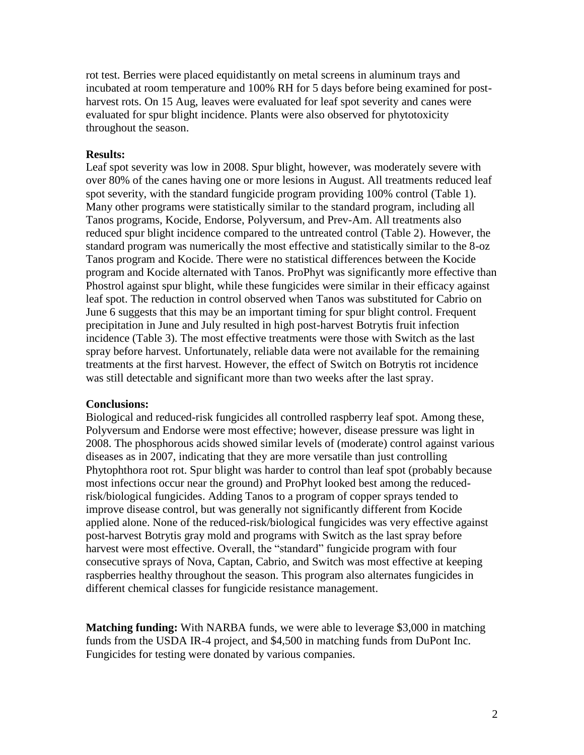rot test. Berries were placed equidistantly on metal screens in aluminum trays and incubated at room temperature and 100% RH for 5 days before being examined for postharvest rots. On 15 Aug, leaves were evaluated for leaf spot severity and canes were evaluated for spur blight incidence. Plants were also observed for phytotoxicity throughout the season.

#### **Results:**

Leaf spot severity was low in 2008. Spur blight, however, was moderately severe with over 80% of the canes having one or more lesions in August. All treatments reduced leaf spot severity, with the standard fungicide program providing 100% control (Table 1). Many other programs were statistically similar to the standard program, including all Tanos programs, Kocide, Endorse, Polyversum, and Prev-Am. All treatments also reduced spur blight incidence compared to the untreated control (Table 2). However, the standard program was numerically the most effective and statistically similar to the 8-oz Tanos program and Kocide. There were no statistical differences between the Kocide program and Kocide alternated with Tanos. ProPhyt was significantly more effective than Phostrol against spur blight, while these fungicides were similar in their efficacy against leaf spot. The reduction in control observed when Tanos was substituted for Cabrio on June 6 suggests that this may be an important timing for spur blight control. Frequent precipitation in June and July resulted in high post-harvest Botrytis fruit infection incidence (Table 3). The most effective treatments were those with Switch as the last spray before harvest. Unfortunately, reliable data were not available for the remaining treatments at the first harvest. However, the effect of Switch on Botrytis rot incidence was still detectable and significant more than two weeks after the last spray.

#### **Conclusions:**

Biological and reduced-risk fungicides all controlled raspberry leaf spot. Among these, Polyversum and Endorse were most effective; however, disease pressure was light in 2008. The phosphorous acids showed similar levels of (moderate) control against various diseases as in 2007, indicating that they are more versatile than just controlling Phytophthora root rot. Spur blight was harder to control than leaf spot (probably because most infections occur near the ground) and ProPhyt looked best among the reducedrisk/biological fungicides. Adding Tanos to a program of copper sprays tended to improve disease control, but was generally not significantly different from Kocide applied alone. None of the reduced-risk/biological fungicides was very effective against post-harvest Botrytis gray mold and programs with Switch as the last spray before harvest were most effective. Overall, the "standard" fungicide program with four consecutive sprays of Nova, Captan, Cabrio, and Switch was most effective at keeping raspberries healthy throughout the season. This program also alternates fungicides in different chemical classes for fungicide resistance management.

**Matching funding:** With NARBA funds, we were able to leverage \$3,000 in matching funds from the USDA IR-4 project, and \$4,500 in matching funds from DuPont Inc. Fungicides for testing were donated by various companies.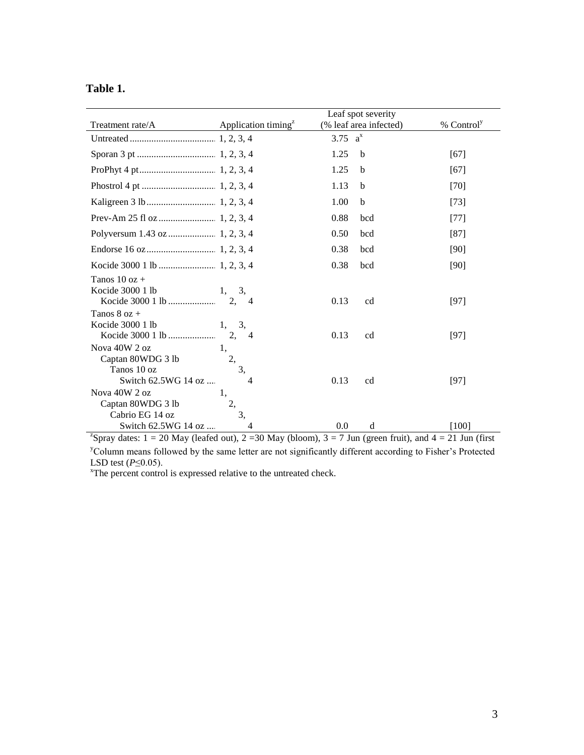| Г |  | `able |  |
|---|--|-------|--|
|   |  |       |  |

|                                                                                                                               |                                 |            | Leaf spot severity     |                        |
|-------------------------------------------------------------------------------------------------------------------------------|---------------------------------|------------|------------------------|------------------------|
| Treatment rate/A                                                                                                              | Application timing <sup>z</sup> |            | (% leaf area infected) | % Control <sup>y</sup> |
|                                                                                                                               |                                 | 3.75 $a^x$ |                        |                        |
|                                                                                                                               |                                 | 1.25       | b                      | [67]                   |
|                                                                                                                               |                                 | 1.25       | b                      | [67]                   |
|                                                                                                                               |                                 | 1.13       | b                      | $[70]$                 |
|                                                                                                                               |                                 | 1.00       | $\mathbf b$            | $[73]$                 |
|                                                                                                                               |                                 | 0.88       | bcd                    | $[77]$                 |
|                                                                                                                               |                                 | 0.50       | bcd                    | $[87]$                 |
|                                                                                                                               |                                 | 0.38       | bcd                    | [90]                   |
|                                                                                                                               |                                 | 0.38       | bcd                    | [90]                   |
| Tanos $10$ oz +                                                                                                               |                                 |            |                        |                        |
| Kocide 3000 1 lb                                                                                                              | 3,<br>1,                        |            |                        |                        |
|                                                                                                                               | 2.<br>$\overline{4}$            | 0.13       | cd                     | [97]                   |
| Tanos $8$ oz $+$                                                                                                              |                                 |            |                        |                        |
| Kocide 3000 1 lb                                                                                                              | 3,<br>1,                        |            |                        |                        |
|                                                                                                                               | 2.<br>$\overline{4}$            | 0.13       | cd                     | $[97]$                 |
| Nova 40W 2 oz                                                                                                                 | 1,                              |            |                        |                        |
| Captan 80WDG 3 lb                                                                                                             | 2,                              |            |                        |                        |
| Tanos 10 oz                                                                                                                   | 3,                              |            |                        |                        |
| Switch 62.5WG 14 oz                                                                                                           | 4                               | 0.13       | cd                     | [97]                   |
| Nova 40W 2 oz                                                                                                                 | 1,                              |            |                        |                        |
| Captan 80WDG 3 lb                                                                                                             | 2,                              |            |                        |                        |
| Cabrio EG 14 oz                                                                                                               | 3,                              |            |                        |                        |
| Switch 62.5WG 14 oz                                                                                                           | 4                               | 0.0        | d                      | $[100]$                |
| <sup>2</sup> Spray dates: $1 = 20$ May (leafed out), $2 = 30$ May (bloom), $3 = 7$ Jun (green fruit), and $4 = 21$ Jun (first |                                 |            |                        |                        |

<sup>y</sup>Column means followed by the same letter are not significantly different according to Fisher's Protected LSD test (*P*≤0.05).

<sup>x</sup>The percent control is expressed relative to the untreated check.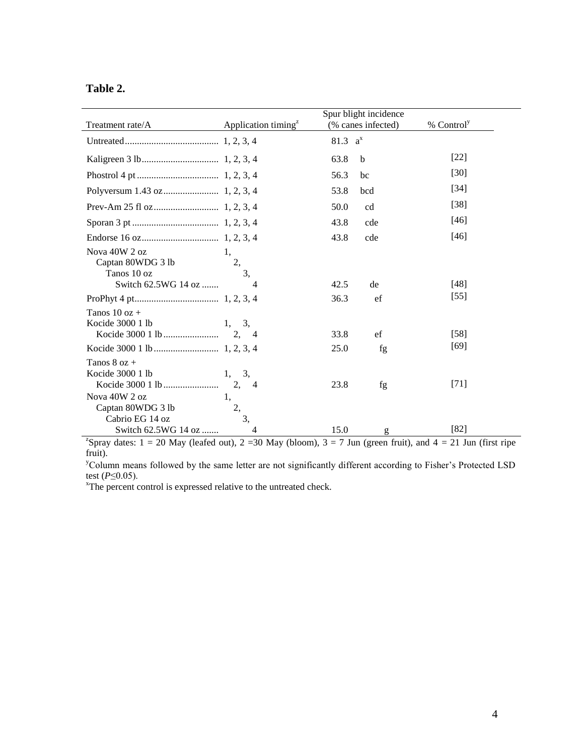| l`able | ∸• |
|--------|----|
|--------|----|

|                                       |                                  | Spur blight incidence | % Control <sup>y</sup> |
|---------------------------------------|----------------------------------|-----------------------|------------------------|
| Treatment rate/A                      | Application timing <sup>2</sup>  | (% canes infected)    |                        |
|                                       |                                  | 81.3 $a^x$            |                        |
|                                       |                                  | 63.8<br>b             | $[22]$                 |
|                                       |                                  | 56.3<br>bc            | [30]                   |
|                                       |                                  | 53.8<br>bcd           | $[34]$                 |
|                                       |                                  | 50.0<br>cd            | $[38]$                 |
|                                       |                                  | 43.8<br>cde           | [46]                   |
|                                       |                                  | 43.8<br>cde           | [46]                   |
| Nova 40W 2 oz<br>Captan 80WDG 3 lb    | 1.<br>2,<br>$\overline{3}$       |                       |                        |
| Tanos 10 oz<br>Switch 62.5WG 14 oz    | 4                                | 42.5<br>de            | $[48]$                 |
|                                       |                                  | 36.3<br>ef            | $[55]$                 |
| Tanos $10$ oz $+$<br>Kocide 3000 1 lb | 3,<br>1,<br>2,<br>$\overline{4}$ | ef<br>33.8            | $[58]$                 |
|                                       |                                  | 25.0<br>fg            | [69]                   |
| Tanos $8$ oz +<br>Kocide 3000 1 lb    | 3,<br>1,                         |                       |                        |
| Nova 40W 2 oz                         | 2,<br>$\overline{4}$<br>1,       | 23.8<br>fg            | $[71]$                 |
| Captan 80WDG 3 lb<br>Cabrio EG 14 oz  | 2,<br>3,                         |                       |                        |
| Switch 62.5WG 14 oz                   | 4                                | 15.0<br>g             | [82]                   |

<sup>z</sup>Spray dates:  $1 = 20$  May (leafed out),  $2 = 30$  May (bloom),  $3 = 7$  Jun (green fruit), and  $4 = 21$  Jun (first ripe fruit).

<sup>y</sup>Column means followed by the same letter are not significantly different according to Fisher's Protected LSD test (*P*≤0.05).

<sup>x</sup>The percent control is expressed relative to the untreated check.